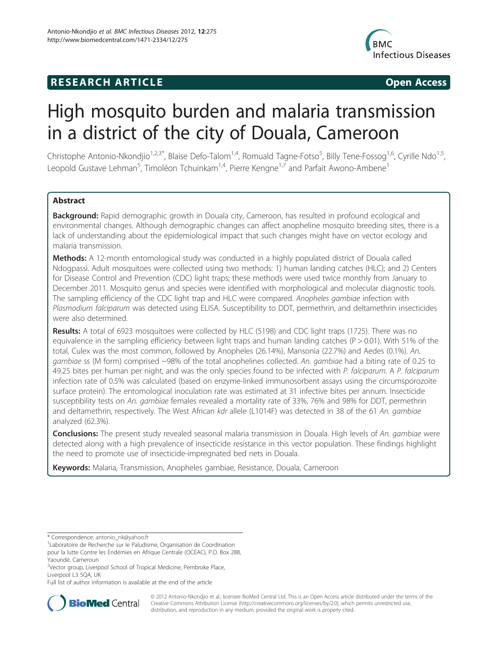# **RESEARCH ARTICLE Example 2014 CONSIDERING CONSIDERING CONSIDERING CONSIDERING CONSIDERING CONSIDERING CONSIDERING CONSIDERING CONSIDERING CONSIDERING CONSIDERING CONSIDERING CONSIDERING CONSIDERING CONSIDERING CONSIDE**



# High mosquito burden and malaria transmission in a district of the city of Douala, Cameroon

Christophe Antonio-Nkondjio<sup>1,2,3\*</sup>, Blaise Defo-Talom<sup>1,4</sup>, Romuald Tagne-Fotso<sup>5</sup>, Billy Tene-Fossog<sup>1,6</sup>, Cyrille Ndo<sup>1,5</sup>, Leopold Gustave Lehman<sup>5</sup>, Timoléon Tchuinkam<sup>1,4</sup>, Pierre Kengne<sup>1,7</sup> and Parfait Awono-Ambene<sup>1</sup>

# Abstract

Background: Rapid demographic growth in Douala city, Cameroon, has resulted in profound ecological and environmental changes. Although demographic changes can affect anopheline mosquito breeding sites, there is a lack of understanding about the epidemiological impact that such changes might have on vector ecology and malaria transmission.

Methods: A 12-month entomological study was conducted in a highly populated district of Douala called Ndogpassi. Adult mosquitoes were collected using two methods: 1) human landing catches (HLC); and 2) Centers for Disease Control and Prevention (CDC) light traps; these methods were used twice monthly from January to December 2011. Mosquito genus and species were identified with morphological and molecular diagnostic tools. The sampling efficiency of the CDC light trap and HLC were compared. Anopheles gambiae infection with Plasmodium falciparum was detected using ELISA. Susceptibility to DDT, permethrin, and deltamethrin insecticides were also determined.

Results: A total of 6923 mosquitoes were collected by HLC (5198) and CDC light traps (1725). There was no equivalence in the sampling efficiency between light traps and human landing catches (P > 0.01). With 51% of the total, Culex was the most common, followed by Anopheles (26.14%), Mansonia (22.7%) and Aedes (0.1%). An. gambiae ss (M form) comprised ~98% of the total anophelines collected. An. gambiae had a biting rate of 0.25 to 49.25 bites per human per night, and was the only species found to be infected with P. falciparum. A P. falciparum infection rate of 0.5% was calculated (based on enzyme-linked immunosorbent assays using the circumsporozoite surface protein). The entomological inoculation rate was estimated at 31 infective bites per annum. Insecticide susceptibility tests on An. *gambiae* females revealed a mortality rate of 33%, 76% and 98% for DDT, permethrin and deltamethrin, respectively. The West African kdr allele (L1014F) was detected in 38 of the 61 An. gambiae analyzed (62.3%).

Conclusions: The present study revealed seasonal malaria transmission in Douala. High levels of An. gambiae were detected along with a high prevalence of insecticide resistance in this vector population. These findings highlight the need to promote use of insecticide-impregnated bed nets in Douala.

Keywords: Malaria, Transmission, Anopheles gambiae, Resistance, Douala, Cameroon

Full list of author information is available at the end of the article



© 2012 Antonio-Nkondjio et al.; licensee BioMed Central Ltd. This is an Open Access article distributed under the terms of the Creative Commons Attribution License (<http://creativecommons.org/licenses/by/2.0>), which permits unrestricted use, distribution, and reproduction in any medium, provided the original work is properly cited.

<sup>\*</sup> Correspondence: [antonio\\_nk@yahoo.fr](mailto:antonio_nk@yahoo.fr) <sup>1</sup>

<sup>&</sup>lt;sup>1</sup> Laboratoire de Recherche sur le Paludisme, Organisation de Coordination pour la lutte Contre les Endémies en Afrique Centrale (OCEAC), P.O. Box 288,

Yaoundé, Cameroun

<sup>&</sup>lt;sup>2</sup>Vector group, Liverpool School of Tropical Medicine, Pembroke Place, Liverpool L3 5QA, UK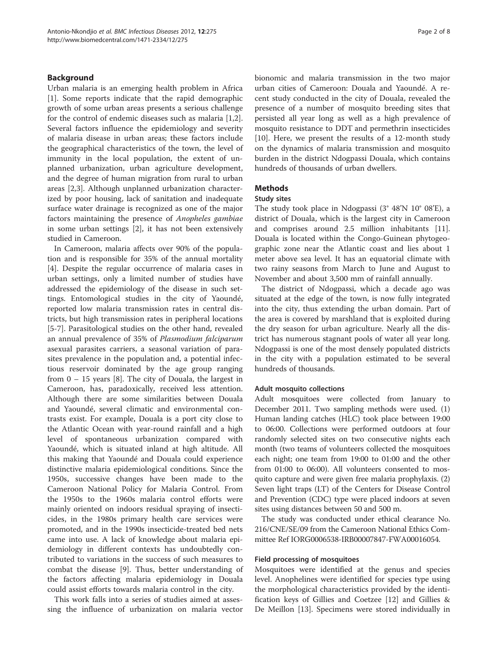# Background

Urban malaria is an emerging health problem in Africa [[1\]](#page-6-0). Some reports indicate that the rapid demographic growth of some urban areas presents a serious challenge for the control of endemic diseases such as malaria [\[1,2](#page-6-0)]. Several factors influence the epidemiology and severity of malaria disease in urban areas; these factors include the geographical characteristics of the town, the level of immunity in the local population, the extent of unplanned urbanization, urban agriculture development, and the degree of human migration from rural to urban areas [\[2,3](#page-6-0)]. Although unplanned urbanization characterized by poor housing, lack of sanitation and inadequate surface water drainage is recognized as one of the major factors maintaining the presence of Anopheles gambiae in some urban settings [[2\]](#page-6-0), it has not been extensively studied in Cameroon.

In Cameroon, malaria affects over 90% of the population and is responsible for 35% of the annual mortality [[4\]](#page-6-0). Despite the regular occurrence of malaria cases in urban settings, only a limited number of studies have addressed the epidemiology of the disease in such settings. Entomological studies in the city of Yaoundé, reported low malaria transmission rates in central districts, but high transmission rates in peripheral locations [[5-7](#page-6-0)]. Parasitological studies on the other hand, revealed an annual prevalence of 35% of Plasmodium falciparum asexual parasites carriers, a seasonal variation of parasites prevalence in the population and, a potential infectious reservoir dominated by the age group ranging from  $0 - 15$  years [\[8](#page-6-0)]. The city of Douala, the largest in Cameroon, has, paradoxically, received less attention. Although there are some similarities between Douala and Yaoundé, several climatic and environmental contrasts exist. For example, Douala is a port city close to the Atlantic Ocean with year-round rainfall and a high level of spontaneous urbanization compared with Yaoundé, which is situated inland at high altitude. All this making that Yaoundé and Douala could experience distinctive malaria epidemiological conditions. Since the 1950s, successive changes have been made to the Cameroon National Policy for Malaria Control. From the 1950s to the 1960s malaria control efforts were mainly oriented on indoors residual spraying of insecticides, in the 1980s primary health care services were promoted, and in the 1990s insecticide-treated bed nets came into use. A lack of knowledge about malaria epidemiology in different contexts has undoubtedly contributed to variations in the success of such measures to combat the disease [[9\]](#page-6-0). Thus, better understanding of the factors affecting malaria epidemiology in Douala could assist efforts towards malaria control in the city.

This work falls into a series of studies aimed at assessing the influence of urbanization on malaria vector bionomic and malaria transmission in the two major urban cities of Cameroon: Douala and Yaoundé. A recent study conducted in the city of Douala, revealed the presence of a number of mosquito breeding sites that persisted all year long as well as a high prevalence of mosquito resistance to DDT and permethrin insecticides [[10\]](#page-6-0). Here, we present the results of a 12-month study on the dynamics of malaria transmission and mosquito burden in the district Ndogpassi Douala, which contains hundreds of thousands of urban dwellers.

# **Methods**

#### Study sites

The study took place in Ndogpassi (3° 48'N 10° 08'E), a district of Douala, which is the largest city in Cameroon and comprises around 2.5 million inhabitants [\[11](#page-6-0)]. Douala is located within the Congo-Guinean phytogeographic zone near the Atlantic coast and lies about 1 meter above sea level. It has an equatorial climate with two rainy seasons from March to June and August to November and about 3,500 mm of rainfall annually.

The district of Ndogpassi, which a decade ago was situated at the edge of the town, is now fully integrated into the city, thus extending the urban domain. Part of the area is covered by marshland that is exploited during the dry season for urban agriculture. Nearly all the district has numerous stagnant pools of water all year long. Ndogpassi is one of the most densely populated districts in the city with a population estimated to be several hundreds of thousands.

# Adult mosquito collections

Adult mosquitoes were collected from January to December 2011. Two sampling methods were used. (1) Human landing catches (HLC) took place between 19:00 to 06:00. Collections were performed outdoors at four randomly selected sites on two consecutive nights each month (two teams of volunteers collected the mosquitoes each night; one team from 19:00 to 01:00 and the other from 01:00 to 06:00). All volunteers consented to mosquito capture and were given free malaria prophylaxis. (2) Seven light traps (LT) of the Centers for Disease Control and Prevention (CDC) type were placed indoors at seven sites using distances between 50 and 500 m.

The study was conducted under ethical clearance No. 216/CNE/SE/09 from the Cameroon National Ethics Committee Ref IORG0006538-IRB00007847-FWA00016054.

# Field processing of mosquitoes

Mosquitoes were identified at the genus and species level. Anophelines were identified for species type using the morphological characteristics provided by the identification keys of Gillies and Coetzee [\[12\]](#page-6-0) and Gillies & De Meillon [\[13](#page-6-0)]. Specimens were stored individually in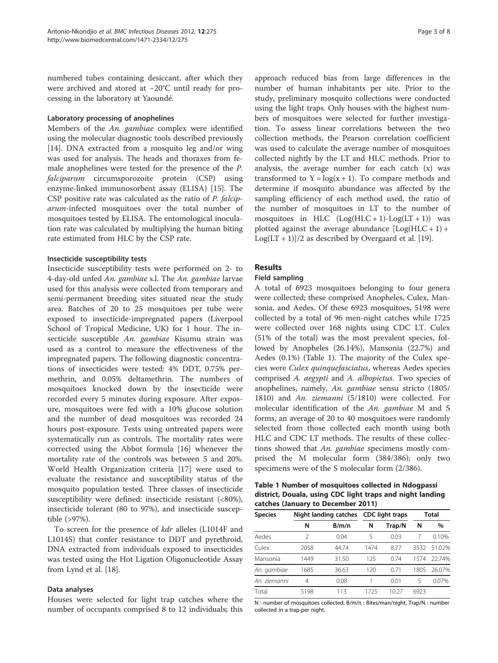numbered tubes containing desiccant, after which they were archived and stored at −20°C until ready for processing in the laboratory at Yaoundé.

# Laboratory processing of anophelines

Members of the An. gambiae complex were identified using the molecular diagnostic tools described previously [[14\]](#page-6-0). DNA extracted from a mosquito leg and/or wing was used for analysis. The heads and thoraxes from female anophelines were tested for the presence of the P. falciparum circumsporozoite protein (CSP) using enzyme-linked immunosorbent assay (ELISA) [\[15\]](#page-6-0). The CSP positive rate was calculated as the ratio of P. falciparum-infected mosquitoes over the total number of mosquitoes tested by ELISA. The entomological inoculation rate was calculated by multiplying the human biting rate estimated from HLC by the CSP rate.

# Insecticide susceptibility tests

Insecticide susceptibility tests were performed on 2- to 4-day-old unfed An. gambiae s.l. The An. gambiae larvae used for this analysis were collected from temporary and semi-permanent breeding sites situated near the study area. Batches of 20 to 25 mosquitoes per tube were exposed to insecticide-impregnated papers (Liverpool School of Tropical Medicine, UK) for 1 hour. The insecticide susceptible An. gambiae Kisumu strain was used as a control to measure the effectiveness of the impregnated papers. The following diagnostic concentrations of insecticides were tested: 4% DDT, 0.75% permethrin, and 0.05% deltamethrin. The numbers of mosquitoes knocked down by the insecticide were recorded every 5 minutes during exposure. After exposure, mosquitoes were fed with a 10% glucose solution and the number of dead mosquitoes was recorded 24 hours post-exposure. Tests using untreated papers were systematically run as controls. The mortality rates were corrected using the Abbot formula [[16](#page-6-0)] whenever the mortality rate of the controls was between 5 and 20%. World Health Organization criteria [\[17\]](#page-6-0) were used to evaluate the resistance and susceptibility status of the mosquito population tested. Three classes of insecticide susceptibility were defined: insecticide resistant (<80%), insecticide tolerant (80 to 97%), and insecticide susceptible (>97%).

To screen for the presence of kdr alleles (L1014F and L1014S) that confer resistance to DDT and pyrethroid, DNA extracted from individuals exposed to insecticides was tested using the Hot Ligation Oligonucleotide Assay from Lynd et al. [[18\]](#page-6-0).

### Data analyses

Houses were selected for light trap catches where the number of occupants comprised 8 to 12 individuals; this approach reduced bias from large differences in the number of human inhabitants per site. Prior to the study, preliminary mosquito collections were conducted using the light traps. Only houses with the highest numbers of mosquitoes were selected for further investigation. To assess linear correlations between the two collection methods, the Pearson correlation coefficient was used to calculate the average number of mosquitoes collected nightly by the LT and HLC methods. Prior to analysis, the average number for each catch (x) was transformed to  $Y = log(x + 1)$ . To compare methods and determine if mosquito abundance was affected by the sampling efficiency of each method used, the ratio of the number of mosquitoes in LT to the number of mosquitoes in HLC  $(Log(HLC + 1) - Log(LT + 1))$  was plotted against the average abundance  $[Log(HLC + 1) +$  $Log(LT + 1)/2$  as described by Overgaard et al. [\[19](#page-6-0)].

# Results

# Field sampling

A total of 6923 mosquitoes belonging to four genera were collected; these comprised Anopheles, Culex, Mansonia, and Aedes. Of these 6923 mosquitoes, 5198 were collected by a total of 96 men-night catches while 1725 were collected over 168 nights using CDC LT. Culex (51% of the total) was the most prevalent species, followed by Anopheles (26.14%), Mansonia (22.7%) and Aedes (0.1%) (Table 1). The majority of the Culex species were Culex quinquefasciatus, whereas Aedes species comprised A. aegypti and A. albopictus. Two species of anophelines, namely, An. gambiae sensu stricto (1805/ 1810) and An. ziemanni (5/1810) were collected. For molecular identification of the An. gambiae M and S forms, an average of 20 to 40 mosquitoes were randomly selected from those collected each month using both HLC and CDC LT methods. The results of these collections showed that An. gambiae specimens mostly comprised the M molecular form (384/386); only two specimens were of the S molecular form (2/386).

Table 1 Number of mosquitoes collected in Ndogpassi district, Douala, using CDC light traps and night landing catches (January to December 2011)

| <b>Species</b> | Night landing catches |       | <b>CDC</b> light traps |        | Total |        |
|----------------|-----------------------|-------|------------------------|--------|-------|--------|
|                | Ν                     | B/m/n | N                      | Trap/N | N     | $\%$   |
| Aedes          | 2                     | 0.04  | 5                      | 0.03   |       | 0.10%  |
| Culex          | 2058                  | 44.74 | 1474                   | 8.77   | 3532  | 51.02% |
| Mansonia       | 1449                  | 31.50 | 125                    | 0.74   | 1574  | 22.74% |
| An. gambiae    | 1685                  | 36.63 | 120                    | 0.71   | 1805  | 26.07% |
| An. ziemanni   | 4                     | 0.08  |                        | 0.01   | 5     | 0.07%  |
| Total          | 5198                  | 113   | 1725                   | 10 27  | 6923  |        |

N : number of mosquitoes collected, B/m/n : Bites/man/night, Trap/N : number collected in a trap per night.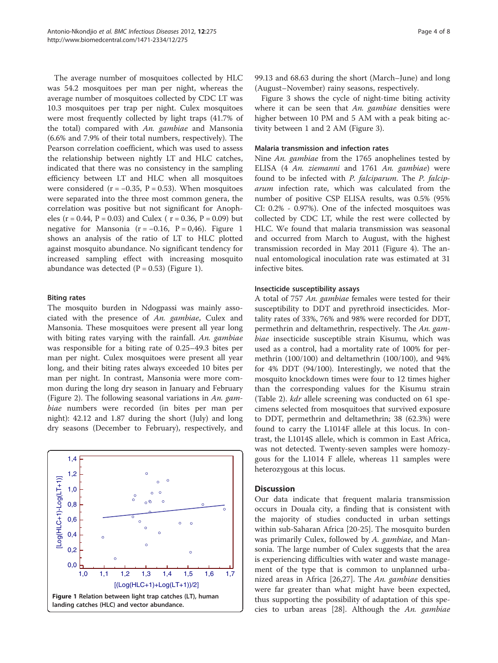The average number of mosquitoes collected by HLC was 54.2 mosquitoes per man per night, whereas the average number of mosquitoes collected by CDC LT was 10.3 mosquitoes per trap per night. Culex mosquitoes were most frequently collected by light traps (41.7% of the total) compared with An. gambiae and Mansonia (6.6% and 7.9% of their total numbers, respectively). The Pearson correlation coefficient, which was used to assess the relationship between nightly LT and HLC catches, indicated that there was no consistency in the sampling efficiency between LT and HLC when all mosquitoes were considered ( $r = -0.35$ ,  $P = 0.53$ ). When mosquitoes were separated into the three most common genera, the correlation was positive but not significant for Anopheles ( $r = 0.44$ ,  $P = 0.03$ ) and Culex ( $r = 0.36$ ,  $P = 0.09$ ) but negative for Mansonia ( $r = -0.16$ ,  $P = 0.46$ ). Figure 1 shows an analysis of the ratio of LT to HLC plotted against mosquito abundance. No significant tendency for increased sampling effect with increasing mosquito abundance was detected  $(P = 0.53)$  (Figure 1).

# Biting rates

The mosquito burden in Ndogpassi was mainly associated with the presence of An. gambiae, Culex and Mansonia. These mosquitoes were present all year long with biting rates varying with the rainfall. An. gambiae was responsible for a biting rate of 0.25–49.3 bites per man per night. Culex mosquitoes were present all year long, and their biting rates always exceeded 10 bites per man per night. In contrast, Mansonia were more common during the long dry season in January and February (Figure [2\)](#page-4-0). The following seasonal variations in An. gambiae numbers were recorded (in bites per man per night): 42.12 and 1.87 during the short (July) and long dry seasons (December to February), respectively, and



99.13 and 68.63 during the short (March–June) and long (August–November) rainy seasons, respectively.

Figure [3](#page-4-0) shows the cycle of night-time biting activity where it can be seen that  $An$ . gambiae densities were higher between 10 PM and 5 AM with a peak biting activity between 1 and 2 AM (Figure [3](#page-4-0)).

#### Malaria transmission and infection rates

Nine An. gambiae from the 1765 anophelines tested by ELISA (4 An. ziemanni and 1761 An. gambiae) were found to be infected with P. falciparum. The P. falciparum infection rate, which was calculated from the number of positive CSP ELISA results, was 0.5% (95% CI: 0.2% - 0.97%). One of the infected mosquitoes was collected by CDC LT, while the rest were collected by HLC. We found that malaria transmission was seasonal and occurred from March to August, with the highest transmission recorded in May 2011 (Figure [4\)](#page-5-0). The annual entomological inoculation rate was estimated at 31 infective bites.

#### Insecticide susceptibility assays

A total of 757 An. gambiae females were tested for their susceptibility to DDT and pyrethroid insecticides. Mortality rates of 33%, 76% and 98% were recorded for DDT, permethrin and deltamethrin, respectively. The An. gambiae insecticide susceptible strain Kisumu, which was used as a control, had a mortality rate of 100% for permethrin (100/100) and deltamethrin (100/100), and 94% for 4% DDT (94/100). Interestingly, we noted that the mosquito knockdown times were four to 12 times higher than the corresponding values for the Kisumu strain (Table [2](#page-5-0)). kdr allele screening was conducted on 61 specimens selected from mosquitoes that survived exposure to DDT, permethrin and deltamethrin; 38 (62.3%) were found to carry the L1014F allele at this locus. In contrast, the L1014S allele, which is common in East Africa, was not detected. Twenty-seven samples were homozygous for the L1014 F allele, whereas 11 samples were heterozygous at this locus.

# **Discussion**

Our data indicate that frequent malaria transmission occurs in Douala city, a finding that is consistent with the majority of studies conducted in urban settings within sub-Saharan Africa [\[20](#page-6-0)-[25\]](#page-7-0). The mosquito burden was primarily Culex, followed by A. gambiae, and Mansonia. The large number of Culex suggests that the area is experiencing difficulties with water and waste management of the type that is common to unplanned urba-nized areas in Africa [[26,27](#page-7-0)]. The An. gambiae densities were far greater than what might have been expected, thus supporting the possibility of adaptation of this species to urban areas [[28\]](#page-7-0). Although the An. gambiae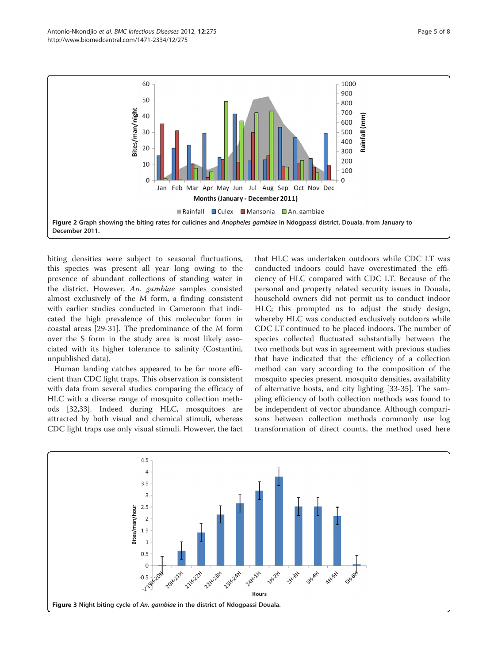<span id="page-4-0"></span>

biting densities were subject to seasonal fluctuations, this species was present all year long owing to the presence of abundant collections of standing water in the district. However, An. gambiae samples consisted almost exclusively of the M form, a finding consistent with earlier studies conducted in Cameroon that indicated the high prevalence of this molecular form in coastal areas [[29-31\]](#page-7-0). The predominance of the M form over the S form in the study area is most likely associated with its higher tolerance to salinity (Costantini, unpublished data).

Human landing catches appeared to be far more efficient than CDC light traps. This observation is consistent with data from several studies comparing the efficacy of HLC with a diverse range of mosquito collection methods [[32,33\]](#page-7-0). Indeed during HLC, mosquitoes are attracted by both visual and chemical stimuli, whereas CDC light traps use only visual stimuli. However, the fact

that HLC was undertaken outdoors while CDC LT was conducted indoors could have overestimated the efficiency of HLC compared with CDC LT. Because of the personal and property related security issues in Douala, household owners did not permit us to conduct indoor HLC; this prompted us to adjust the study design, whereby HLC was conducted exclusively outdoors while CDC LT continued to be placed indoors. The number of species collected fluctuated substantially between the two methods but was in agreement with previous studies that have indicated that the efficiency of a collection method can vary according to the composition of the mosquito species present, mosquito densities, availability of alternative hosts, and city lighting [\[33-35](#page-7-0)]. The sampling efficiency of both collection methods was found to be independent of vector abundance. Although comparisons between collection methods commonly use log transformation of direct counts, the method used here

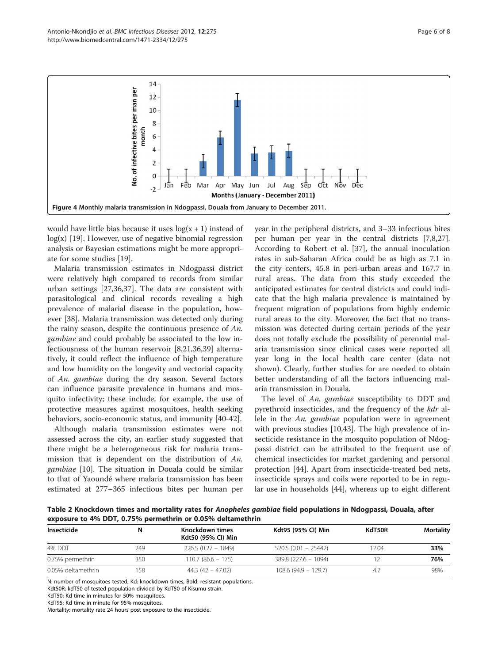<span id="page-5-0"></span>

would have little bias because it uses  $log(x + 1)$  instead of  $log(x)$  [\[19](#page-6-0)]. However, use of negative binomial regression analysis or Bayesian estimations might be more appropriate for some studies [[19\]](#page-6-0).

Malaria transmission estimates in Ndogpassi district were relatively high compared to records from similar urban settings [[27,36,37\]](#page-7-0). The data are consistent with parasitological and clinical records revealing a high prevalence of malarial disease in the population, however [\[38\]](#page-7-0). Malaria transmission was detected only during the rainy season, despite the continuous presence of An. gambiae and could probably be associated to the low infectiousness of the human reservoir [[8](#page-6-0),[21](#page-6-0),[36](#page-7-0),[39](#page-7-0)] alternatively, it could reflect the influence of high temperature and low humidity on the longevity and vectorial capacity of An. gambiae during the dry season. Several factors can influence parasite prevalence in humans and mosquito infectivity; these include, for example, the use of protective measures against mosquitoes, health seeking behaviors, socio-economic status, and immunity [[40-42\]](#page-7-0).

Although malaria transmission estimates were not assessed across the city, an earlier study suggested that there might be a heterogeneous risk for malaria transmission that is dependent on the distribution of An. gambiae [\[10](#page-6-0)]. The situation in Douala could be similar to that of Yaoundé where malaria transmission has been estimated at 277–365 infectious bites per human per year in the peripheral districts, and 3–33 infectious bites per human per year in the central districts [\[7,8](#page-6-0)[,27](#page-7-0)]. According to Robert et al. [\[37\]](#page-7-0), the annual inoculation rates in sub-Saharan Africa could be as high as 7.1 in the city centers, 45.8 in peri-urban areas and 167.7 in rural areas. The data from this study exceeded the anticipated estimates for central districts and could indicate that the high malaria prevalence is maintained by frequent migration of populations from highly endemic rural areas to the city. Moreover, the fact that no transmission was detected during certain periods of the year does not totally exclude the possibility of perennial malaria transmission since clinical cases were reported all year long in the local health care center (data not shown). Clearly, further studies for are needed to obtain better understanding of all the factors influencing malaria transmission in Douala.

The level of An. gambiae susceptibility to DDT and pyrethroid insecticides, and the frequency of the kdr allele in the An. gambiae population were in agreement with previous studies [\[10](#page-6-0)[,43](#page-7-0)]. The high prevalence of insecticide resistance in the mosquito population of Ndogpassi district can be attributed to the frequent use of chemical insecticides for market gardening and personal protection [[44\]](#page-7-0). Apart from insecticide-treated bed nets, insecticide sprays and coils were reported to be in regular use in households [[44\]](#page-7-0), whereas up to eight different

Table 2 Knockdown times and mortality rates for Anopheles gambiae field populations in Ndogpassi, Douala, after exposure to 4% DDT, 0.75% permethrin or 0.05% deltamethrin

| Insecticide        |     | Knockdown times<br>Kdt50 (95% CI) Min | Kdt95 (95% CI) Min     | KdT50R | Mortality |
|--------------------|-----|---------------------------------------|------------------------|--------|-----------|
| 4% DDT             | 249 | $226.5(0.27 - 1849)$                  | $520.5(0.01 - 25442)$  | 12.04  | 33%       |
| 0.75% permethrin   | 350 | $110.7 (86.6 - 175)$                  | $389.8(227.6 - 1094)$  |        | 76%       |
| 0.05% deltamethrin | 158 | $44.3(42 - 47.02)$                    | $108.6$ (94.9 - 129.7) |        | 98%       |

N: number of mosquitoes tested, Kd: knockdown times, Bold: resistant populations.

Kdt50R: kdT50 of tested population divided by KdT50 of Kisumu strain.

KdT50: Kd time in minutes for 50% mosquitoes.

KdT95: Kd time in minute for 95% mosquitoes.

Mortality: mortality rate 24 hours post exposure to the insecticide.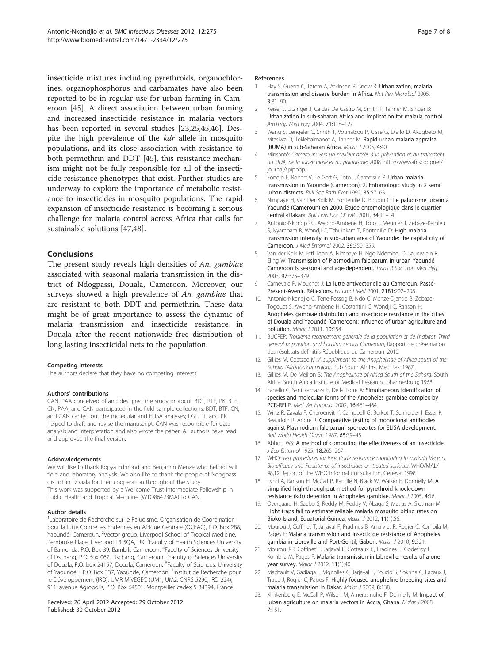<span id="page-6-0"></span>insecticide mixtures including pyrethroids, organochlorines, organophosphorus and carbamates have also been reported to be in regular use for urban farming in Cameroon [\[45](#page-7-0)]. A direct association between urban farming and increased insecticide resistance in malaria vectors has been reported in several studies [23[,25,45,46](#page-7-0)]. Despite the high prevalence of the kdr allele in mosquito populations, and its close association with resistance to both permethrin and DDT [\[45](#page-7-0)], this resistance mechanism might not be fully responsible for all of the insecticide resistance phenotypes that exist. Further studies are underway to explore the importance of metabolic resistance to insecticides in mosquito populations. The rapid expansion of insecticide resistance is becoming a serious challenge for malaria control across Africa that calls for sustainable solutions [\[47,48](#page-7-0)].

# Conclusions

The present study reveals high densities of An. gambiae associated with seasonal malaria transmission in the district of Ndogpassi, Douala, Cameroon. Moreover, our surveys showed a high prevalence of An. gambiae that are resistant to both DDT and permethrin. These data might be of great importance to assess the dynamic of malaria transmission and insecticide resistance in Douala after the recent nationwide free distribution of long lasting insecticidal nets to the population.

#### Competing interests

The authors declare that they have no competing interests.

#### Authors' contributions

CAN, PAA conceived of and designed the study protocol. BDT, RTF, PK, BTF, CN, PAA, and CAN participated in the field sample collections. BDT, BTF, CN, and CAN carried out the molecular and ELISA analyses; LGL, TT, and PK helped to draft and revise the manuscript. CAN was responsible for data analysis and interpretation and also wrote the paper. All authors have read and approved the final version.

#### Acknowledgements

We will like to thank Kopya Edmond and Benjamin Menze who helped will field and laboratory analysis. We also like to thank the people of Ndogpassi district in Douala for their cooperation throughout the study. This work was supported by a Wellcome Trust Intermediate Fellowship in Public Health and Tropical Medicine (WTO86423MA) to CAN.

#### Author details

<sup>1</sup> Laboratoire de Recherche sur le Paludisme, Organisation de Coordination pour la lutte Contre les Endémies en Afrique Centrale (OCEAC), P.O. Box 288, Yaoundé, Cameroun. <sup>2</sup>Vector group, Liverpool School of Tropical Medicine, Pembroke Place, Liverpool L3 5QA, UK. <sup>3</sup> Faculty of Health Sciences University of Bamenda, P.O. Box 39, Bambili, Cameroon. <sup>4</sup>Faculty of Sciences University of Dschang, P.O Box 067, Dschang, Cameroun. <sup>5</sup>Faculty of Sciences University of Douala, P.O. box 24157, Douala, Cameroon. <sup>6</sup>Faculty of Sciences, University of Yaoundé I, P.O. Box 337, Yaoundé, Cameroon. <sup>7</sup>Institut de Recherche pour le Développement (IRD), UMR MIVEGEC (UM1, UM2, CNRS 5290, IRD 224), 911, avenue Agropolis, P.O. Box 64501, Montpellier cedex 5 34394, France.

#### Received: 26 April 2012 Accepted: 29 October 2012 Published: 30 October 2012

#### References

- Hay S, Guerra C, Tatem A, Atkinson P, Snow R: Urbanization, malaria transmission and disease burden in Africa. Nat Rev Microbiol 2005, 3:81–90.
- 2. Keiser J, Utzinger J, Caldas De Castro M, Smith T, Tanner M, Singer B: Urbanization in sub-saharan Africa and implication for malaria control. AmJTrop Med Hyg 2004, 71:118–127.
- 3. Wang S, Lengeler C, Smith T, Vounatsou P, Cisse G, Diallo D, Akogbeto M, Mtasiwa D, Teklehaimanot A, Tanner M: Rapid urban malaria appraisal (RUMA) in sub-Saharan Africa. Malar J 2005, 4:40.
- 4. Minsanté: Cameroun: vers un meilleur accès à la prévention et au traitement du SIDA, de la tuberculose et du paludisme; 2008. [http://wwwafriscoopnet/](http://wwwafriscoopnet/journal/spipphp) iournal/spipphp.
- 5. Fondjo E, Robert V, Le Goff G, Toto J, Carnevale P: Urban malaria transmission in Yaounde (Cameroon). 2. Entomologic study in 2 semi urban districts. Bull Soc Path Exot 1992, 85:57–63.
- 6. Nimpaye H, Van Der Kolk M, Fontenille D, Boudin C: Le paludisme urbain à Yaoundé (Cameroun) en 2000. Etude entomologique dans le quartier central «Dakar». Bull Liais Doc OCEAC 2001, 34:11–14.
- 7. Antonio-Nkondjio C, Awono-Ambene H, Toto J, Meunier J, Zebaze-Kemleu S, Nyambam R, Wondji C, Tchuinkam T, Fontenille D: High malaria transmission intensity in sub-urban area of Yaounde: the capital city of Cameroon. J Med Entomol 2002, 39:350–355.
- 8. Van der Kolk M, Etti Tebo A, Nimpaye H, Ngo Ndombol D, Sauerwein R, Eling W: Transmission of Plasmodium falciparum in urban Yaoundé Cameroon is seasonal and age-dependent. Trans R Soc Trop Med Hyg 2003, 97:375–379.
- 9. Carnevale P, Mouchet J: La lutte antivectorielle au Cameroun. Passé-Présent-Avenir. Réflexions. Entomol Méd 2001, 2181:202–208.
- 10. Antonio-Nkondjio C, Tene-Fossog B, Ndo C, Menze-Djantio B, Zebaze-Togouet S, Awono-Ambene H, Costantini C, Wondji C, Ranson H: Anopheles gambiae distribution and insecticide resistance in the cities of Douala and Yaoundé (Cameroon): influence of urban agriculture and pollution. Malar J 2011, 10:154.
- 11. BUCREP: Troisième recencement générale de la population et de l'habitat. Third general population and housing census Cameroun, Rapport de présentation des résulstats définitifs République du Cameroun; 2010.
- 12. Gillies M, Coetzee M: A supplement to the Anophelinae of Africa south of the Sahara (Afrotropical region), Pub South Afr Inst Med Res: 1987.
- 13. Gillies M, De Meillon B: The Anophelinae of Africa South of the Sahara. South Africa: South Africa Institute of Medical Research Johannesburg; 1968.
- 14. Fanello C, Santolamazza F, Della Torre A: Simultaneous identification of species and molecular forms of the Anopheles gambiae complex by PCR-RFLP. Med Vet Entomol 2002, 16:461–464.
- 15. Wirtz R, Zavala F, Charoenvit Y, Campbell G, Burkot T, Schneider I, Esser K, Beaudoin R, Andre R: Comparative testing of monoclonal antibodies against Plasmodium falciparum sporozoites for ELISA development. Bull World Health Organ 1987, 65:39–45.
- 16. Abbott WS: A method of computing the effectiveness of an insecticide. J Eco Entomol 1925, 18:265-267.
- 17. WHO: Test procedures for insecticide resistance monitoring in malaria Vectors. Bio-efficacy and Persistence of insecticides on treated surfaces, WHO/MAL/ 98,12 Report of the WHO Informal Consultation, Geneva; 1998.
- 18. Lynd A, Ranson H, McCall P, Randle N, Black W, Walker E, Donnelly M: A simplified high-throughput method for pyrethroid knock-down resistance (kdr) detection in Anopheles gambiae. Malar J 2005, 4:16.
- 19. Overgaard H, Saebo S, Reddy M, Reddy V, Abaga S, Matias A, Slotman M: Light traps fail to estimate reliable malaria mosquito biting rates on Bioko Island, Equatorial Guinea. Malar J 2012, 11(1):56.
- 20. Mourou J, Coffinet T, Jarjaval F, Pradines B, Amalvict R, Rogier C, Kombila M, Pages F: Malaria transmission and insecticide resistance of Anopheles gambia in Libreville and Port-Gentil, Gabon. Malar J 2010, 9:321.
- 21. Mourou J-R, Coffinet T, Jarjaval F, Cotteaux C, Pradines E, Godefroy L, Kombila M, Pages F: Malaria transmission in Libreville: results of a one year survey. Malar J 2012, 11(1):40.
- 22. Machault V, Gadiaga L, Vignolles C, Jarjaval F, Bouzid S, Sokhna C, Lacaux J, Trape J, Rogier C, Pages F: Highly focused anopheline breeding sites and malaria transmission in Dakar. Malar J 2009, 8:138.
- 23. Klinkenberg E, McCall P, Wilson M, Amerasinghe F, Donnelly M: Impact of urban agriculture on malaria vectors in Accra, Ghana. Malar J 2008, 7:151.